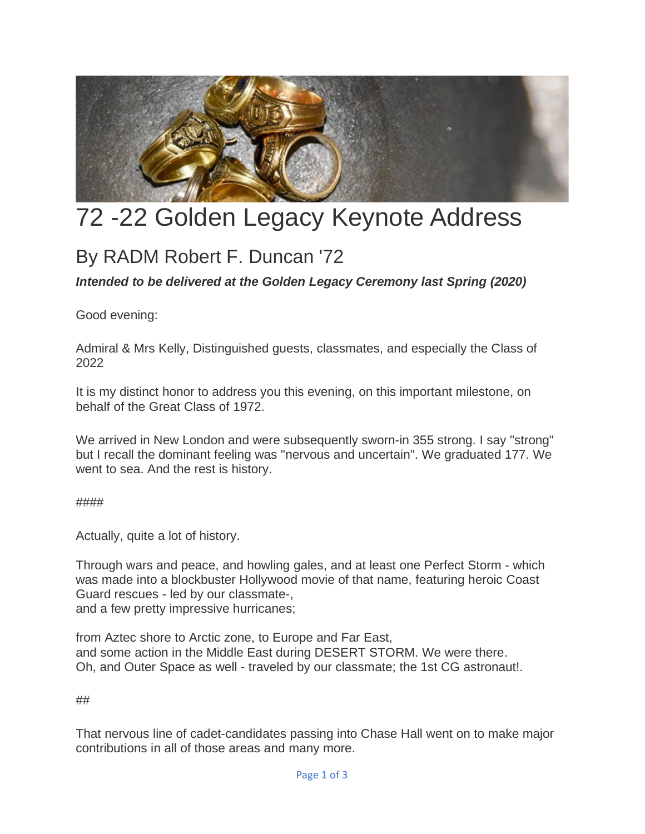

## 72 -22 Golden Legacy Keynote Address

## By RADM Robert F. Duncan '72

*Intended to be delivered at the Golden Legacy Ceremony last Spring (2020)*

Good evening:

Admiral & Mrs Kelly, Distinguished guests, classmates, and especially the Class of 2022

It is my distinct honor to address you this evening, on this important milestone, on behalf of the Great Class of 1972.

We arrived in New London and were subsequently sworn-in 355 strong. I say "strong" but I recall the dominant feeling was "nervous and uncertain". We graduated 177. We went to sea. And the rest is history.

####

Actually, quite a lot of history.

Through wars and peace, and howling gales, and at least one Perfect Storm - which was made into a blockbuster Hollywood movie of that name, featuring heroic Coast Guard rescues - led by our classmate-, and a few pretty impressive hurricanes;

from Aztec shore to Arctic zone, to Europe and Far East, and some action in the Middle East during DESERT STORM. We were there. Oh, and Outer Space as well - traveled by our classmate; the 1st CG astronaut!.

##

That nervous line of cadet-candidates passing into Chase Hall went on to make major contributions in all of those areas and many more.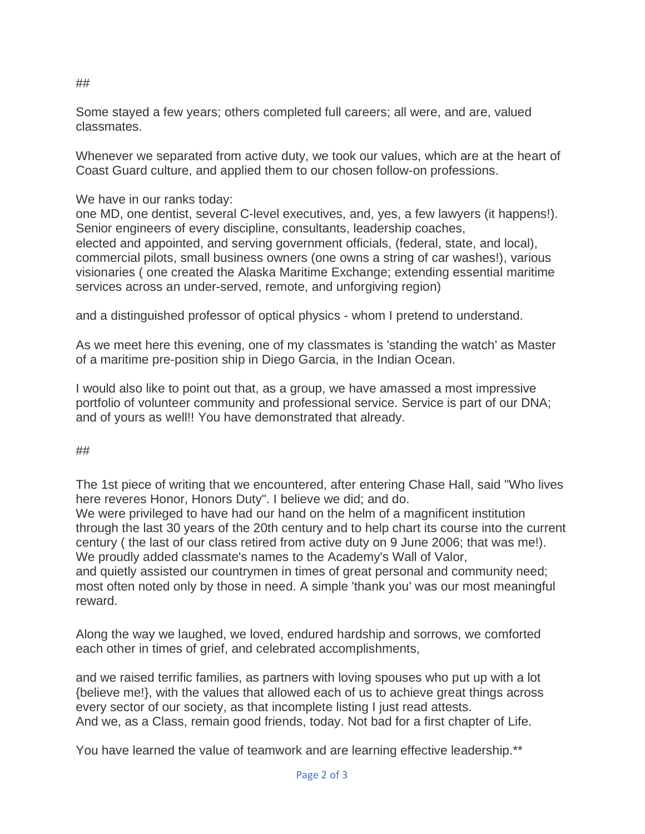Some stayed a few years; others completed full careers; all were, and are, valued classmates.

Whenever we separated from active duty, we took our values, which are at the heart of Coast Guard culture, and applied them to our chosen follow-on professions.

We have in our ranks today:

one MD, one dentist, several C-level executives, and, yes, a few lawyers (it happens!). Senior engineers of every discipline, consultants, leadership coaches, elected and appointed, and serving government officials, (federal, state, and local), commercial pilots, small business owners (one owns a string of car washes!), various visionaries ( one created the Alaska Maritime Exchange; extending essential maritime services across an under-served, remote, and unforgiving region)

and a distinguished professor of optical physics - whom I pretend to understand.

As we meet here this evening, one of my classmates is 'standing the watch' as Master of a maritime pre-position ship in Diego Garcia, in the Indian Ocean.

I would also like to point out that, as a group, we have amassed a most impressive portfolio of volunteer community and professional service. Service is part of our DNA; and of yours as well!! You have demonstrated that already.

##

The 1st piece of writing that we encountered, after entering Chase Hall, said "Who lives here reveres Honor, Honors Duty". I believe we did; and do.

We were privileged to have had our hand on the helm of a magnificent institution through the last 30 years of the 20th century and to help chart its course into the current century ( the last of our class retired from active duty on 9 June 2006; that was me!). We proudly added classmate's names to the Academy's Wall of Valor, and quietly assisted our countrymen in times of great personal and community need; most often noted only by those in need. A simple 'thank you' was our most meaningful reward.

Along the way we laughed, we loved, endured hardship and sorrows, we comforted each other in times of grief, and celebrated accomplishments,

and we raised terrific families, as partners with loving spouses who put up with a lot {believe me!}, with the values that allowed each of us to achieve great things across every sector of our society, as that incomplete listing I just read attests. And we, as a Class, remain good friends, today. Not bad for a first chapter of Life.

You have learned the value of teamwork and are learning effective leadership.\*\*

##